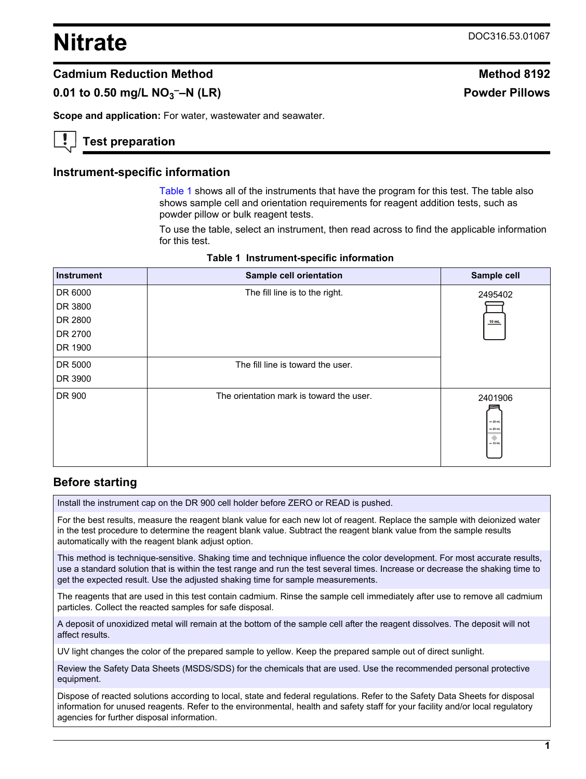# <span id="page-0-0"></span>**Nitrate** DOC316.53.01067

**Powder Pillows** 

### **Cadmium Reduction Method Method 8192**

# **0.01 to 0.50 mg/L NO<sup>3</sup>**

**Scope and application:** For water, wastewater and seawater.

### **Test preparation**

#### **Instrument-specific information**

Table 1 shows all of the instruments that have the program for this test. The table also shows sample cell and orientation requirements for reagent addition tests, such as powder pillow or bulk reagent tests.

To use the table, select an instrument, then read across to find the applicable information for this test.

| <b>Instrument</b> | Sample cell orientation                  | Sample cell                                        |
|-------------------|------------------------------------------|----------------------------------------------------|
| DR 6000           | The fill line is to the right.           | 2495402                                            |
| DR 3800           |                                          |                                                    |
| DR 2800           |                                          | $10$ mL                                            |
| DR 2700           |                                          |                                                    |
| DR 1900           |                                          |                                                    |
| DR 5000           | The fill line is toward the user.        |                                                    |
| DR 3900           |                                          |                                                    |
| DR 900            | The orientation mark is toward the user. | 2401906<br>$-25$ mL<br>$= 20$ mL<br>۰<br>$= 10$ mL |

#### **Table 1 Instrument-specific information**

### **Before starting**

Install the instrument cap on the DR 900 cell holder before ZERO or READ is pushed.

For the best results, measure the reagent blank value for each new lot of reagent. Replace the sample with deionized water in the test procedure to determine the reagent blank value. Subtract the reagent blank value from the sample results automatically with the reagent blank adjust option.

This method is technique-sensitive. Shaking time and technique influence the color development. For most accurate results, use a standard solution that is within the test range and run the test several times. Increase or decrease the shaking time to get the expected result. Use the adjusted shaking time for sample measurements.

The reagents that are used in this test contain cadmium. Rinse the sample cell immediately after use to remove all cadmium particles. Collect the reacted samples for safe disposal.

A deposit of unoxidized metal will remain at the bottom of the sample cell after the reagent dissolves. The deposit will not affect results.

UV light changes the color of the prepared sample to yellow. Keep the prepared sample out of direct sunlight.

Review the Safety Data Sheets (MSDS/SDS) for the chemicals that are used. Use the recommended personal protective equipment.

Dispose of reacted solutions according to local, state and federal regulations. Refer to the Safety Data Sheets for disposal information for unused reagents. Refer to the environmental, health and safety staff for your facility and/or local regulatory agencies for further disposal information.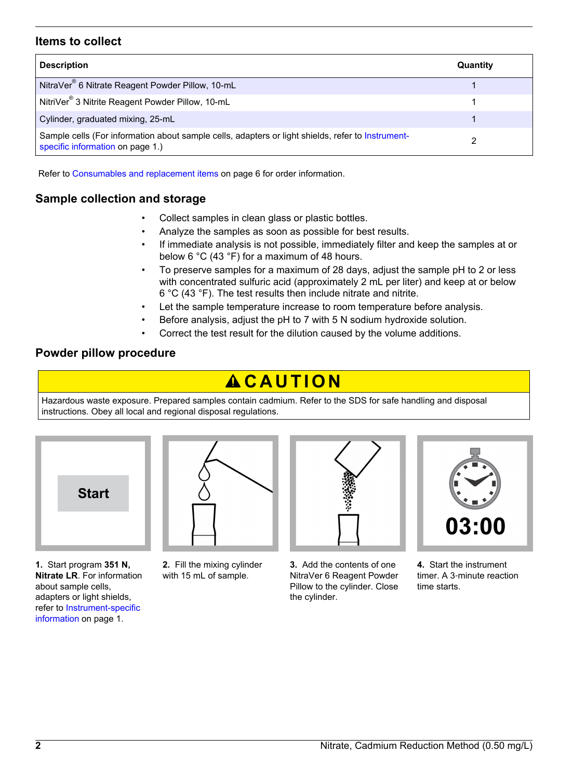#### **Items to collect**

| <b>Description</b>                                                                                                                    | Quantity |
|---------------------------------------------------------------------------------------------------------------------------------------|----------|
| NitraVer <sup>®</sup> 6 Nitrate Reagent Powder Pillow, 10-mL                                                                          |          |
| NitriVer <sup>®</sup> 3 Nitrite Reagent Powder Pillow, 10-mL                                                                          |          |
| Cylinder, graduated mixing, 25-mL                                                                                                     |          |
| Sample cells (For information about sample cells, adapters or light shields, refer to Instrument-<br>specific information on page 1.) |          |

Refer to [Consumables and replacement items](#page-5-0) on page 6 for order information.

# **Sample collection and storage**

- Collect samples in clean glass or plastic bottles.
- Analyze the samples as soon as possible for best results.
- If immediate analysis is not possible, immediately filter and keep the samples at or below 6 °C (43 °F) for a maximum of 48 hours.
- To preserve samples for a maximum of 28 days, adjust the sample pH to 2 or less with concentrated sulfuric acid (approximately 2 mL per liter) and keep at or below 6 °C (43 °F). The test results then include nitrate and nitrite.
- Let the sample temperature increase to room temperature before analysis.
- Before analysis, adjust the pH to 7 with 5 N sodium hydroxide solution.
- Correct the test result for the dilution caused by the volume additions.

#### **Powder pillow procedure**

# A CAUTION

Hazardous waste exposure. Prepared samples contain cadmium. Refer to the SDS for safe handling and disposal instructions. Obey all local and regional disposal regulations.



**1.** Start program **351 N, Nitrate LR**. For information about sample cells, adapters or light shields, refer to [Instrument-specific](#page-0-0) [information](#page-0-0) on page 1.



**2.** Fill the mixing cylinder with 15 mL of sample.



**3.** Add the contents of one NitraVer 6 Reagent Powder Pillow to the cylinder. Close the cylinder.



**4.** Start the instrument timer. A 3‑minute reaction time starts.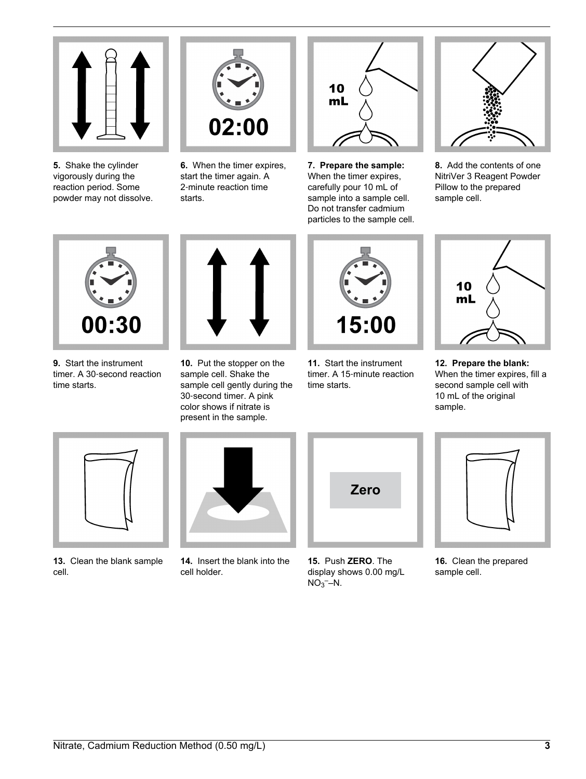

**5.** Shake the cylinder vigorously during the reaction period. Some powder may not dissolve.



**6.** When the timer expires, start the timer again. A 2‑minute reaction time starts.



**7. Prepare the sample:** When the timer expires, carefully pour 10 mL of sample into a sample cell. Do not transfer cadmium particles to the sample cell.



**8.** Add the contents of one NitriVer 3 Reagent Powder Pillow to the prepared sample cell.



**9.** Start the instrument timer. A 30‑second reaction time starts.



**10.** Put the stopper on the sample cell. Shake the sample cell gently during the 30‑second timer. A pink color shows if nitrate is present in the sample.



**11.** Start the instrument timer. A 15‑minute reaction time starts.



**12. Prepare the blank:** When the timer expires, fill a second sample cell with 10 mL of the original sample.



**13.** Clean the blank sample cell.



**14.** Insert the blank into the cell holder.



**15.** Push **ZERO**. The display shows 0.00 mg/L  $NO<sub>3</sub>$ –N.



**16.** Clean the prepared sample cell.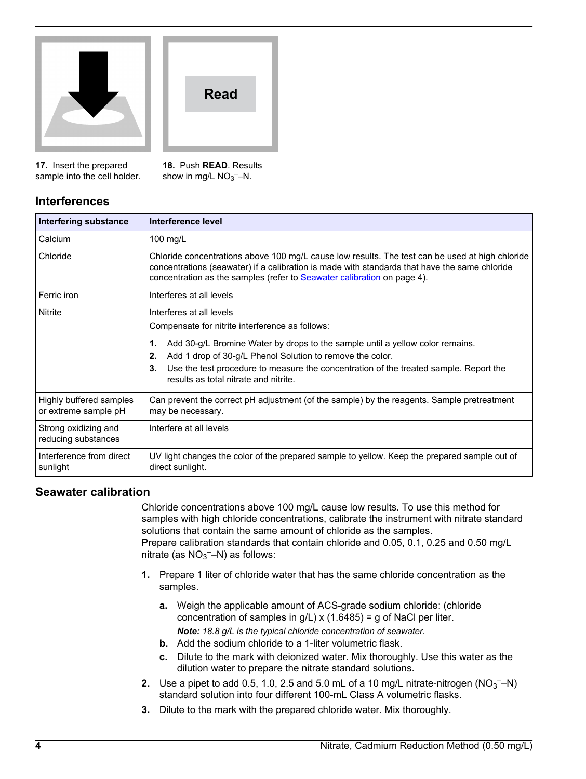



**17.** Insert the prepared sample into the cell holder. **18.** Push **READ**. Results show in mg/L  $NO<sub>3</sub>$ <sup>-</sup>-N.

# **Interferences**

| Interfering substance                           | Interference level                                                                                                                                                                                                                                                          |
|-------------------------------------------------|-----------------------------------------------------------------------------------------------------------------------------------------------------------------------------------------------------------------------------------------------------------------------------|
| Calcium                                         | 100 $mg/L$                                                                                                                                                                                                                                                                  |
| Chloride                                        | Chloride concentrations above 100 mg/L cause low results. The test can be used at high chloride<br>concentrations (seawater) if a calibration is made with standards that have the same chloride<br>concentration as the samples (refer to Seawater calibration on page 4). |
| Ferric iron                                     | Interferes at all levels                                                                                                                                                                                                                                                    |
| Nitrite                                         | Interferes at all levels                                                                                                                                                                                                                                                    |
|                                                 | Compensate for nitrite interference as follows:                                                                                                                                                                                                                             |
|                                                 | Add 30-g/L Bromine Water by drops to the sample until a yellow color remains.<br>1.                                                                                                                                                                                         |
|                                                 | Add 1 drop of 30-g/L Phenol Solution to remove the color.<br>2.                                                                                                                                                                                                             |
|                                                 | Use the test procedure to measure the concentration of the treated sample. Report the<br>3.<br>results as total nitrate and nitrite.                                                                                                                                        |
| Highly buffered samples<br>or extreme sample pH | Can prevent the correct pH adjustment (of the sample) by the reagents. Sample pretreatment<br>may be necessary.                                                                                                                                                             |
| Strong oxidizing and<br>reducing substances     | Interfere at all levels                                                                                                                                                                                                                                                     |
| Interference from direct<br>sunlight            | UV light changes the color of the prepared sample to yellow. Keep the prepared sample out of<br>direct sunlight.                                                                                                                                                            |

### **Seawater calibration**

Chloride concentrations above 100 mg/L cause low results. To use this method for samples with high chloride concentrations, calibrate the instrument with nitrate standard solutions that contain the same amount of chloride as the samples. Prepare calibration standards that contain chloride and 0.05, 0.1, 0.25 and 0.50 mg/L nitrate (as  $NO<sub>3</sub>$ -N) as follows:

- **1.** Prepare 1 liter of chloride water that has the same chloride concentration as the samples.
	- **a.** Weigh the applicable amount of ACS-grade sodium chloride: (chloride concentration of samples in  $g/L$ ) x (1.6485) = g of NaCl per liter. *Note: 18.8 g/L is the typical chloride concentration of seawater.*
	- **b.** Add the sodium chloride to a 1-liter volumetric flask.
	- **c.** Dilute to the mark with deionized water. Mix thoroughly. Use this water as the dilution water to prepare the nitrate standard solutions.
- **2.** Use a pipet to add 0.5, 1.0, 2.5 and 5.0 mL of a 10 mg/L nitrate-nitrogen  $(NO<sub>3</sub> N)$ standard solution into four different 100-mL Class A volumetric flasks.
- **3.** Dilute to the mark with the prepared chloride water. Mix thoroughly.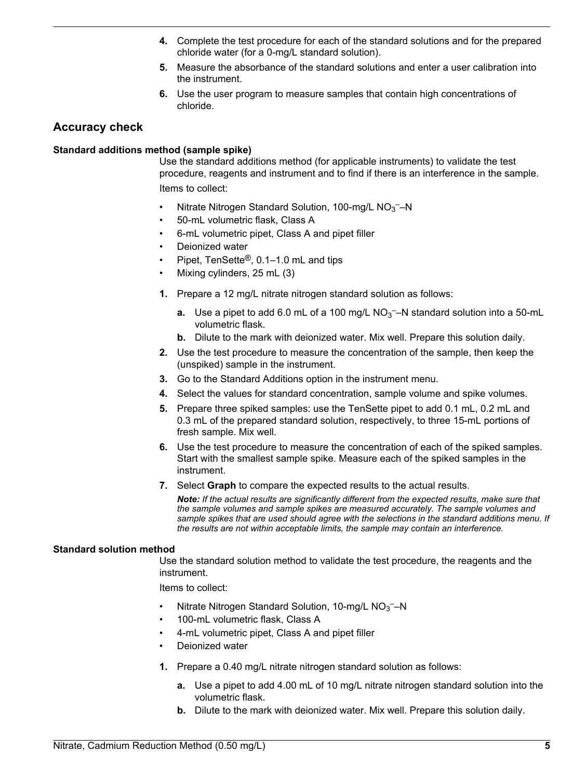- **4.** Complete the test procedure for each of the standard solutions and for the prepared chloride water (for a 0-mg/L standard solution).
- **5.** Measure the absorbance of the standard solutions and enter a user calibration into the instrument.
- **6.** Use the user program to measure samples that contain high concentrations of chloride.

### **Accuracy check**

#### **Standard additions method (sample spike)**

Use the standard additions method (for applicable instruments) to validate the test procedure, reagents and instrument and to find if there is an interference in the sample. Items to collect:

- Nitrate Nitrogen Standard Solution, 100-mg/L  $NO<sub>3</sub>$  N
- 50-mL volumetric flask, Class A
- 6-mL volumetric pipet, Class A and pipet filler
- Deionized water
- Pipet, TenSette®, 0.1–1.0 mL and tips
- Mixing cylinders, 25 mL (3)
- **1.** Prepare a 12 mg/L nitrate nitrogen standard solution as follows:
	- **a.** Use a pipet to add 6.0 mL of a 100 mg/L NO<sub>3</sub><sup>-</sup>-N standard solution into a 50-mL volumetric flask.
	- **b.** Dilute to the mark with deionized water. Mix well. Prepare this solution daily.
- **2.** Use the test procedure to measure the concentration of the sample, then keep the (unspiked) sample in the instrument.
- **3.** Go to the Standard Additions option in the instrument menu.
- **4.** Select the values for standard concentration, sample volume and spike volumes.
- **5.** Prepare three spiked samples: use the TenSette pipet to add 0.1 mL, 0.2 mL and 0.3 mL of the prepared standard solution, respectively, to three 15-mL portions of fresh sample. Mix well.
- **6.** Use the test procedure to measure the concentration of each of the spiked samples. Start with the smallest sample spike. Measure each of the spiked samples in the instrument.
- **7.** Select **Graph** to compare the expected results to the actual results.

*Note: If the actual results are significantly different from the expected results, make sure that the sample volumes and sample spikes are measured accurately. The sample volumes and sample spikes that are used should agree with the selections in the standard additions menu. If the results are not within acceptable limits, the sample may contain an interference.*

#### **Standard solution method**

Use the standard solution method to validate the test procedure, the reagents and the instrument.

Items to collect:

- Nitrate Nitrogen Standard Solution, 10-mg/L  $NO<sub>3</sub>$  N
- 100-mL volumetric flask, Class A
- 4-mL volumetric pipet, Class A and pipet filler
- Deionized water
- **1.** Prepare a 0.40 mg/L nitrate nitrogen standard solution as follows:
	- **a.** Use a pipet to add 4.00 mL of 10 mg/L nitrate nitrogen standard solution into the volumetric flask.
	- **b.** Dilute to the mark with deionized water. Mix well. Prepare this solution daily.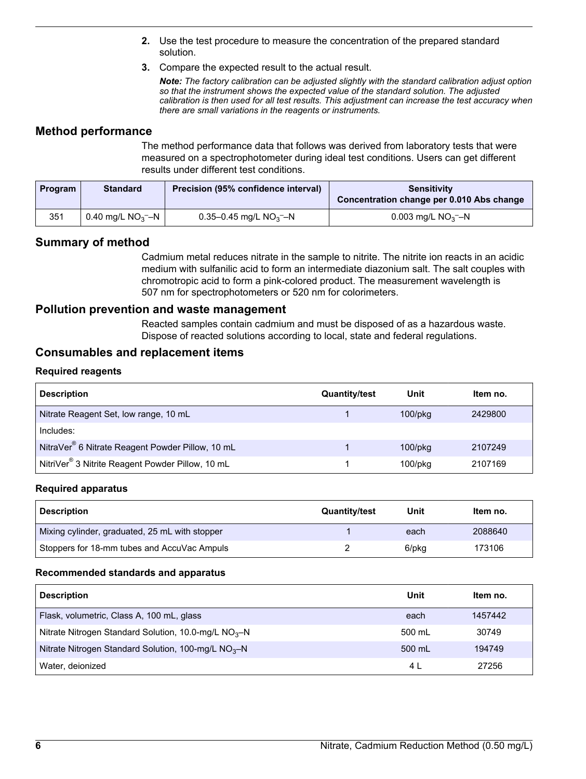- **2.** Use the test procedure to measure the concentration of the prepared standard solution.
- **3.** Compare the expected result to the actual result.

*Note: The factory calibration can be adjusted slightly with the standard calibration adjust option so that the instrument shows the expected value of the standard solution. The adjusted calibration is then used for all test results. This adjustment can increase the test accuracy when there are small variations in the reagents or instruments.*

### <span id="page-5-0"></span>**Method performance**

The method performance data that follows was derived from laboratory tests that were measured on a spectrophotometer during ideal test conditions. Users can get different results under different test conditions.

| <b>Program</b> | <b>Standard</b>    | Precision (95% confidence interval) | <b>Sensitivity</b><br>Concentration change per 0.010 Abs change |
|----------------|--------------------|-------------------------------------|-----------------------------------------------------------------|
| 351            | 0.40 mg/L $NO3$ –N | 0.35–0.45 mg/L $NO3$ –N             | 0.003 mg/L $NO3$ –N                                             |

# **Summary of method**

Cadmium metal reduces nitrate in the sample to nitrite. The nitrite ion reacts in an acidic medium with sulfanilic acid to form an intermediate diazonium salt. The salt couples with chromotropic acid to form a pink-colored product. The measurement wavelength is 507 nm for spectrophotometers or 520 nm for colorimeters.

#### **Pollution prevention and waste management**

Reacted samples contain cadmium and must be disposed of as a hazardous waste. Dispose of reacted solutions according to local, state and federal regulations.

#### **Consumables and replacement items**

#### **Required reagents**

| <b>Description</b>                                           | <b>Quantity/test</b> | Unit          | Item no. |
|--------------------------------------------------------------|----------------------|---------------|----------|
| Nitrate Reagent Set, low range, 10 mL                        |                      | $100$ /p $kg$ | 2429800  |
| Includes:                                                    |                      |               |          |
| NitraVer <sup>®</sup> 6 Nitrate Reagent Powder Pillow, 10 mL |                      | $100$ /p $kg$ | 2107249  |
| NitriVer <sup>®</sup> 3 Nitrite Reagent Powder Pillow, 10 mL |                      | $100$ /p $ka$ | 2107169  |

#### **Required apparatus**

| <b>Description</b>                             | <b>Quantity/test</b> | Unit  | Item no. |
|------------------------------------------------|----------------------|-------|----------|
| Mixing cylinder, graduated, 25 mL with stopper |                      | each  | 2088640  |
| Stoppers for 18-mm tubes and AccuVac Ampuls    |                      | 6/pkg | 173106   |

#### **Recommended standards and apparatus**

| <b>Description</b>                                    | Unit   | Item no. |
|-------------------------------------------------------|--------|----------|
| Flask, volumetric, Class A, 100 mL, glass             | each   | 1457442  |
| Nitrate Nitrogen Standard Solution, 10.0-mg/L $NO3–N$ | 500 mL | 30749    |
| Nitrate Nitrogen Standard Solution, 100-mg/L $NO3–N$  | 500 mL | 194749   |
| Water, deionized                                      | 4 L    | 27256    |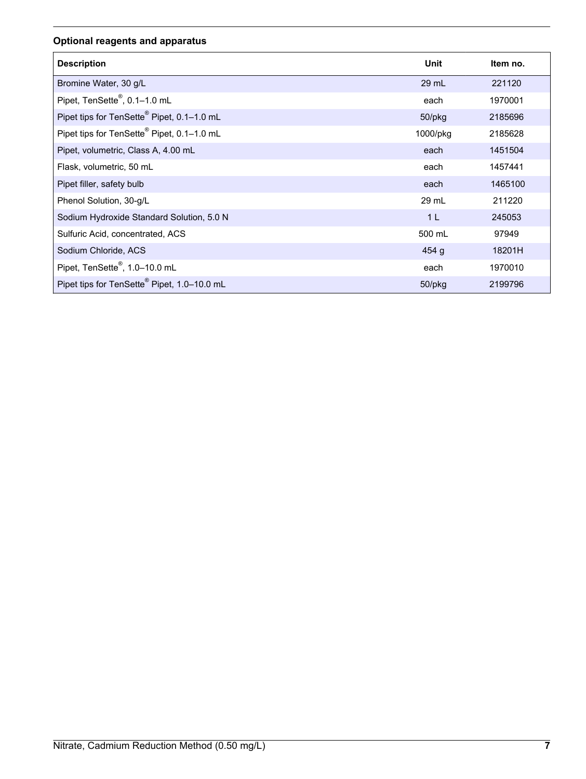# **Optional reagents and apparatus**

| <b>Description</b>                                     | Unit           | Item no. |
|--------------------------------------------------------|----------------|----------|
| Bromine Water, 30 g/L                                  | $29$ mL        | 221120   |
| Pipet, TenSette <sup>®</sup> , 0.1-1.0 mL              | each           | 1970001  |
| Pipet tips for TenSette® Pipet, 0.1-1.0 mL             | 50/pkg         | 2185696  |
| Pipet tips for TenSette <sup>®</sup> Pipet, 0.1-1.0 mL | 1000/pkg       | 2185628  |
| Pipet, volumetric, Class A, 4.00 mL                    | each           | 1451504  |
| Flask, volumetric, 50 mL                               | each           | 1457441  |
| Pipet filler, safety bulb                              | each           | 1465100  |
| Phenol Solution, 30-g/L                                | 29 mL          | 211220   |
| Sodium Hydroxide Standard Solution, 5.0 N              | 1 <sub>L</sub> | 245053   |
| Sulfuric Acid, concentrated, ACS                       | 500 mL         | 97949    |
| Sodium Chloride, ACS                                   | 454g           | 18201H   |
| Pipet, TenSette <sup>®</sup> , 1.0-10.0 mL             | each           | 1970010  |
| Pipet tips for TenSette® Pipet, 1.0-10.0 mL            | $50$ /p $kg$   | 2199796  |